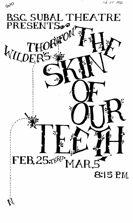